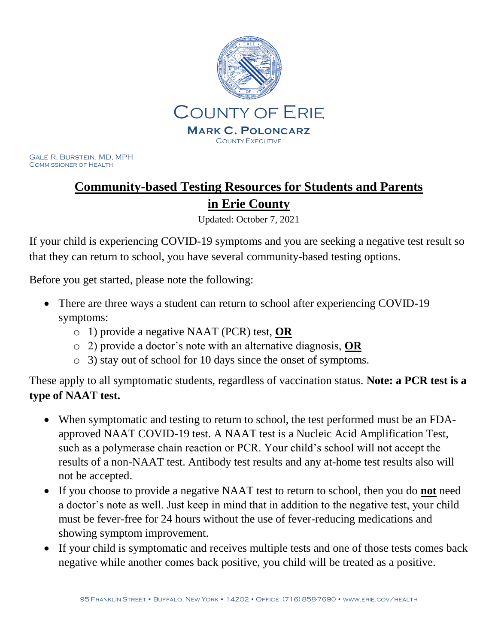

Gale R. Burstein, MD, MPH COMMISSIONER OF HEALTH

# **Community-based Testing Resources for Students and Parents in Erie County**

Updated: October 7, 2021

If your child is experiencing COVID-19 symptoms and you are seeking a negative test result so that they can return to school, you have several community-based testing options.

Before you get started, please note the following:

- There are three ways a student can return to school after experiencing COVID-19 symptoms:
	- o 1) provide a negative NAAT (PCR) test, **OR**
	- o 2) provide a doctor's note with an alternative diagnosis, **OR**
	- o 3) stay out of school for 10 days since the onset of symptoms.

These apply to all symptomatic students, regardless of vaccination status. **Note: a PCR test is a type of NAAT test.**

- When symptomatic and testing to return to school, the test performed must be an FDAapproved NAAT COVID-19 test. A NAAT test is a Nucleic Acid Amplification Test, such as a polymerase chain reaction or PCR. Your child's school will not accept the results of a non-NAAT test. Antibody test results and any at-home test results also will not be accepted.
- If you choose to provide a negative NAAT test to return to school, then you do **not** need a doctor's note as well. Just keep in mind that in addition to the negative test, your child must be fever-free for 24 hours without the use of fever-reducing medications and showing symptom improvement.
- If your child is symptomatic and receives multiple tests and one of those tests comes back negative while another comes back positive, you child will be treated as a positive.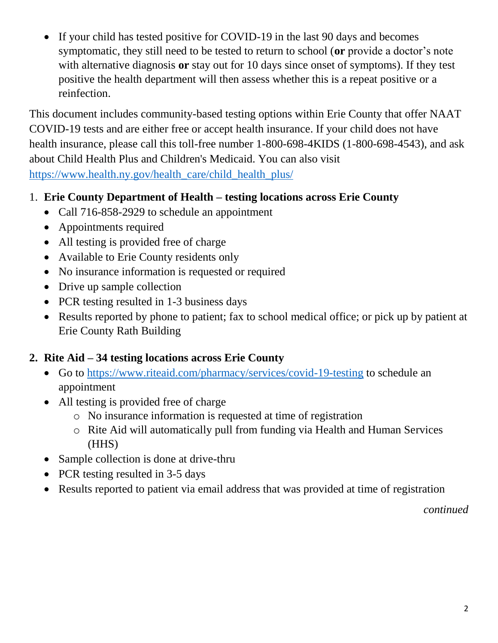• If your child has tested positive for COVID-19 in the last 90 days and becomes symptomatic, they still need to be tested to return to school (**or** provide a doctor's note with alternative diagnosis **or** stay out for 10 days since onset of symptoms). If they test positive the health department will then assess whether this is a repeat positive or a reinfection.

This document includes community-based testing options within Erie County that offer NAAT COVID-19 tests and are either free or accept health insurance. If your child does not have health insurance, please call this toll-free number 1-800-698-4KIDS (1-800-698-4543), and ask about Child Health Plus and Children's Medicaid. You can also visit [https://www.health.ny.gov/health\\_care/child\\_health\\_plus/](https://www.health.ny.gov/health_care/child_health_plus/)

### 1. **Erie County Department of Health – testing locations across Erie County**

- Call 716-858-2929 to schedule an appointment
- Appointments required
- All testing is provided free of charge
- Available to Erie County residents only
- No insurance information is requested or required
- Drive up sample collection
- PCR testing resulted in 1-3 business days
- Results reported by phone to patient; fax to school medical office; or pick up by patient at Erie County Rath Building

### **2. Rite Aid – 34 testing locations across Erie County**

- Go to<https://www.riteaid.com/pharmacy/services/covid-19-testing> to schedule an appointment
- All testing is provided free of charge
	- o No insurance information is requested at time of registration
	- o Rite Aid will automatically pull from funding via Health and Human Services (HHS)
- Sample collection is done at drive-thru
- PCR testing resulted in 3-5 days
- Results reported to patient via email address that was provided at time of registration

*continued*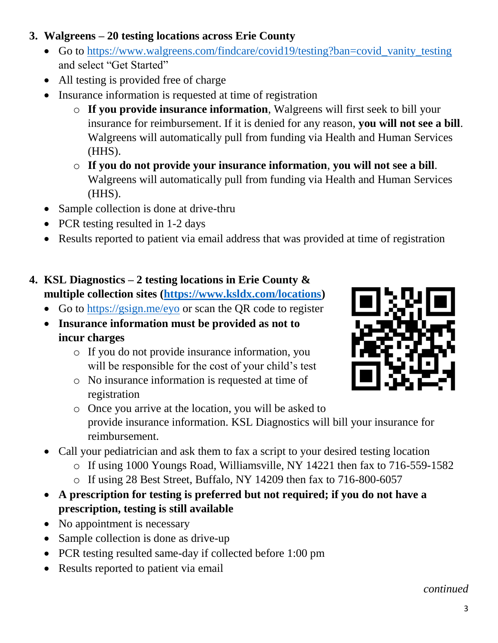- **3. Walgreens – 20 testing locations across Erie County**
	- Go to [https://www.walgreens.com/findcare/covid19/testing?ban=covid\\_vanity\\_testing](https://www.walgreens.com/findcare/covid19/testing?ban=covid_vanity_testing) and select "Get Started"
	- All testing is provided free of charge
	- Insurance information is requested at time of registration
		- o **If you provide insurance information**, Walgreens will first seek to bill your insurance for reimbursement. If it is denied for any reason, **you will not see a bill**. Walgreens will automatically pull from funding via Health and Human Services (HHS).
		- o **If you do not provide your insurance information**, **you will not see a bill**. Walgreens will automatically pull from funding via Health and Human Services (HHS).
	- Sample collection is done at drive-thru
	- PCR testing resulted in 1-2 days
	- Results reported to patient via email address that was provided at time of registration

## **4. KSL Diagnostics – 2 testing locations in Erie County & multiple collection sites [\(https://www.ksldx.com/locations\)](https://www.ksldx.com/locations)**

- Go to [https://gsign.me/eyo](https://secure-web.cisco.com/1wi0uQlw8_TJBis5KdFMcO18ak0ydK_vJFvvLFj3d6UCxgj5i9Y3SeafeOZla6mL4Ma2_W9jKvIs9umX3uDESUlgLORE9HBliGhL8huB_npYNuSF87pCxNNIM59fWSVBwZ0ggV7SmkjkhoWFav2jXHssrViLyrx5ALW3mcia5BO2wlzZh65EL7Qfs0euDyvvhSPz_OkgauufJ8TRkZvKrUdU8RwIgL5taVzAPpFB2vQi5evng0k8RS_akx2zeefwdizu_ETclfnv0JY6_wxQvgS9P-DErOk6bhyEdx7EORHHlPoWWCNFMet97iFwlxqSy/https%3A%2F%2Fgsign.me%2Feyo) or scan the QR code to register
- **Insurance information must be provided as not to incur charges**
	- o If you do not provide insurance information, you will be responsible for the cost of your child's test
	- o No insurance information is requested at time of registration



- o Once you arrive at the location, you will be asked to provide insurance information. KSL Diagnostics will bill your insurance for reimbursement.
- Call your pediatrician and ask them to fax a script to your desired testing location
	- o If using 1000 Youngs Road, Williamsville, NY 14221 then fax to 716-559-1582
	- o If using 28 Best Street, Buffalo, NY 14209 then fax to 716-800-6057
- **A prescription for testing is preferred but not required; if you do not have a prescription, testing is still available**
- No appointment is necessary
- Sample collection is done as drive-up
- PCR testing resulted same-day if collected before 1:00 pm
- Results reported to patient via email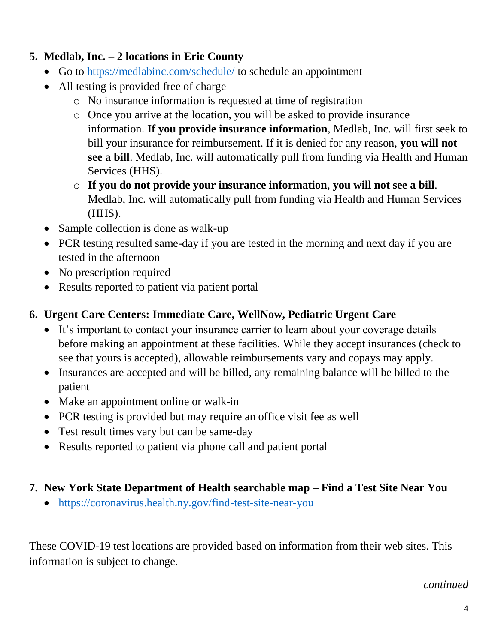### **5. Medlab, Inc. – 2 locations in Erie County**

- Go to<https://medlabinc.com/schedule/> to schedule an appointment
- All testing is provided free of charge
	- o No insurance information is requested at time of registration
	- o Once you arrive at the location, you will be asked to provide insurance information. **If you provide insurance information**, Medlab, Inc. will first seek to bill your insurance for reimbursement. If it is denied for any reason, **you will not see a bill**. Medlab, Inc. will automatically pull from funding via Health and Human Services (HHS).
	- o **If you do not provide your insurance information**, **you will not see a bill**. Medlab, Inc. will automatically pull from funding via Health and Human Services (HHS).
- Sample collection is done as walk-up
- PCR testing resulted same-day if you are tested in the morning and next day if you are tested in the afternoon
- No prescription required
- Results reported to patient via patient portal

# **6. Urgent Care Centers: Immediate Care, WellNow, Pediatric Urgent Care**

- It's important to contact your insurance carrier to learn about your coverage details before making an appointment at these facilities. While they accept insurances (check to see that yours is accepted), allowable reimbursements vary and copays may apply.
- Insurances are accepted and will be billed, any remaining balance will be billed to the patient
- Make an appointment online or walk-in
- PCR testing is provided but may require an office visit fee as well
- Test result times vary but can be same-day
- Results reported to patient via phone call and patient portal

# **7. New York State Department of Health searchable map – Find a Test Site Near You**

• <https://coronavirus.health.ny.gov/find-test-site-near-you>

These COVID-19 test locations are provided based on information from their web sites. This information is subject to change.

*continued*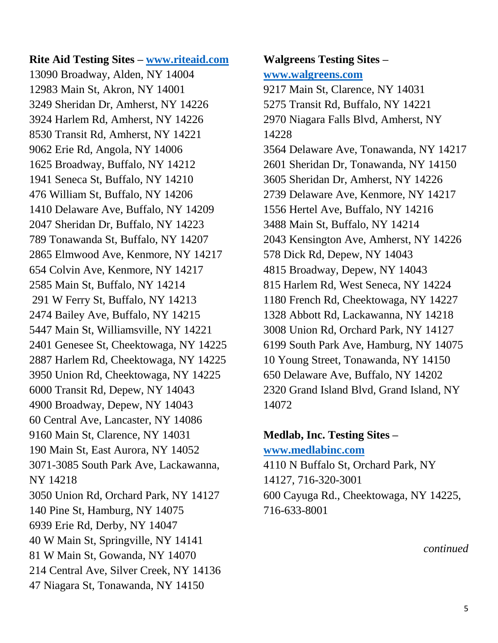**Rite Aid Testing Sites – [www.riteaid.com](http://www.riteaid.com/)** 13090 Broadway, Alden, NY 14004 12983 Main St, Akron, NY 14001 3249 Sheridan Dr, Amherst, NY 14226 3924 Harlem Rd, Amherst, NY 14226 8530 Transit Rd, Amherst, NY 14221 9062 Erie Rd, Angola, NY 14006 1625 Broadway, Buffalo, NY 14212 1941 Seneca St, Buffalo, NY 14210 476 William St, Buffalo, NY 14206 1410 Delaware Ave, Buffalo, NY 14209 2047 Sheridan Dr, Buffalo, NY 14223 789 Tonawanda St, Buffalo, NY 14207 2865 Elmwood Ave, Kenmore, NY 14217 654 Colvin Ave, Kenmore, NY 14217 2585 Main St, Buffalo, NY 14214 291 W Ferry St, Buffalo, NY 14213 2474 Bailey Ave, Buffalo, NY 14215 5447 Main St, Williamsville, NY 14221 2401 Genesee St, Cheektowaga, NY 14225 2887 Harlem Rd, Cheektowaga, NY 14225 3950 Union Rd, Cheektowaga, NY 14225 6000 Transit Rd, Depew, NY 14043 4900 Broadway, Depew, NY 14043 60 Central Ave, Lancaster, NY 14086 9160 Main St, Clarence, NY 14031 190 Main St, East Aurora, NY 14052 3071-3085 South Park Ave, Lackawanna, NY 14218 3050 Union Rd, Orchard Park, NY 14127 140 Pine St, Hamburg, NY 14075 6939 Erie Rd, Derby, NY 14047 40 W Main St, Springville, NY 14141 81 W Main St, Gowanda, NY 14070 214 Central Ave, Silver Creek, NY 14136 47 Niagara St, Tonawanda, NY 14150

#### **Walgreens Testing Sites – [www.walgreens.com](http://www.walgreens.com/)**

9217 Main St, Clarence, NY 14031 5275 Transit Rd, Buffalo, NY 14221 2970 Niagara Falls Blvd, Amherst, NY 14228 3564 Delaware Ave, Tonawanda, NY 14217 2601 Sheridan Dr, Tonawanda, NY 14150 3605 Sheridan Dr, Amherst, NY 14226 2739 Delaware Ave, Kenmore, NY 14217 1556 Hertel Ave, Buffalo, NY 14216 3488 Main St, Buffalo, NY 14214 2043 Kensington Ave, Amherst, NY 14226 578 Dick Rd, Depew, NY 14043 4815 Broadway, Depew, NY 14043 815 Harlem Rd, West Seneca, NY 14224 1180 French Rd, Cheektowaga, NY 14227 1328 Abbott Rd, Lackawanna, NY 14218 3008 Union Rd, Orchard Park, NY 14127 6199 South Park Ave, Hamburg, NY 14075 10 Young Street, Tonawanda, NY 14150 650 Delaware Ave, Buffalo, NY 14202 2320 Grand Island Blvd, Grand Island, NY 14072

# **Medlab, Inc. Testing Sites – [www.medlabinc.com](http://www.medlabinc.com/)**

4110 N Buffalo St, Orchard Park, NY 14127, 716-320-3001 600 Cayuga Rd., Cheektowaga, NY 14225, 716-633-8001

*continued*